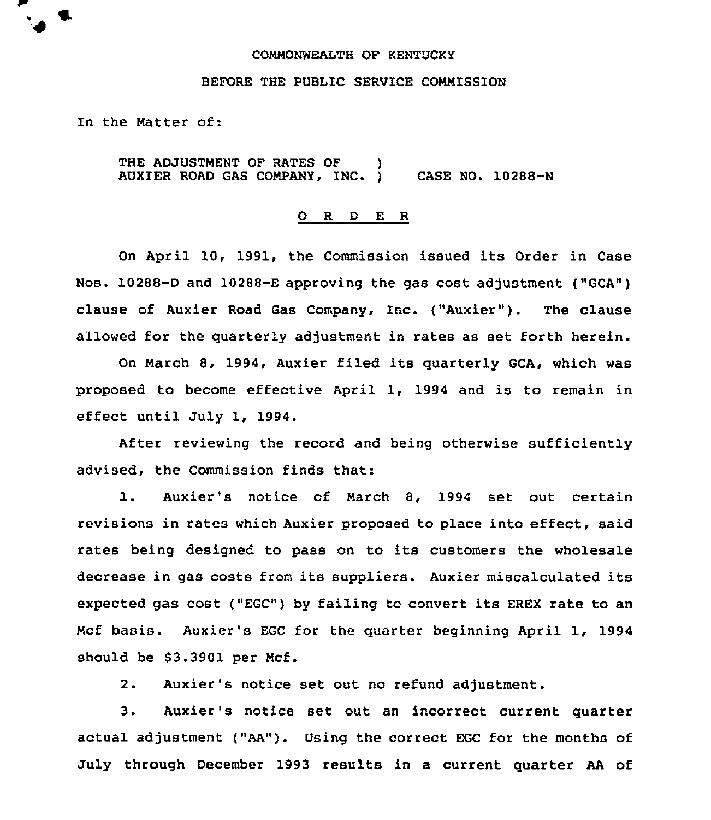#### COMMONWEALTH OF KENTUCKY

### BEFORE THE PUBLIC SERVICE COMMISSION

In the Matter of:

THE ADJUSTMENT OF RATES OF AUXIER ROAD GAS COMPANY, INC. 1 CASE NO. 10288-N

#### 0 <sup>R</sup> <sup>D</sup> E <sup>R</sup>

On April 10, 1991, the Commission issued its Order in Case Nos. 10288-D and 10288-E approving the gas cost adjustment ("GCA") clause of Auxier Road Gas Company, Inc. ("Auxier"). The clause allowed for the quarterly adjustment in rates as set forth herein.

On March 8, 1994, Auxier filed its quarterly GCA, which was proposed to become effective April 1, 1994 and is to remain in effect until July 1, 1994.

After reviewing the record and being otherwise sufficiently advised, the Commission finds that:

l. Auxier's notice of March 8, <sup>1994</sup> set out certain revisions in rates which Auxier proposed to place into effect, said rates being designed to pass on to its customers the wholesale decrease in gas costs from its suppliers. Auxier miscalculated its expected gas cost ("EGC") by failing to convert its EREX rate to an Mcf basis. Auxier's EGC for the quarter beginning April 1, 1994 should be \$3.3901 per Mcf.

2. Auxier's notice set out no refund adjustment.

3. Auxier's notice set out an incorrect current quarter actual adjustment ("AA"). Using the correct EGC for the months of July through December 1993 results in a current quarter AA of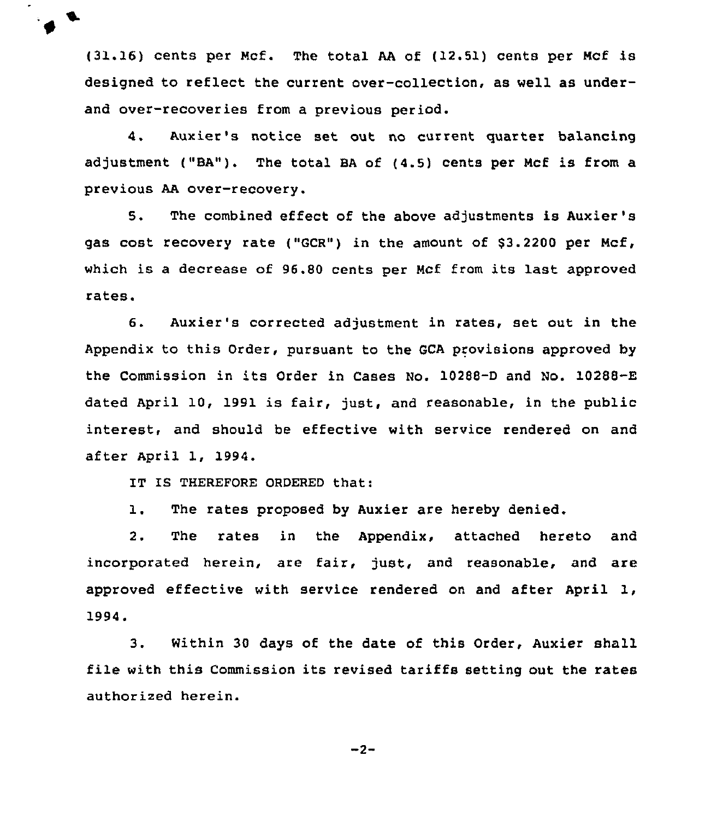(31.16) cents per Mcf. The total AA of (12.51) cents per Mcf is designed to reflect the current over-collection, as well as underand over-recoveries from a previous period.

4. Auxier's notice set out no current quartet balancing adjustment ("BA"). The total BA of (4.5) cents per Mcf is from a previous AA over-recovery.

5. The combined effect of the above adjustments is Auxier's gas cost recovery rate ("GCR") in the amount of \$3.2200 per Mcf, which is a decrease of 96.80 cents per Mcf from its last approved rates.

6. Auxier's corrected adjustment in rates, set out in the Appendix to this Order, pursuant to the GCA provisions approved by the Commission in its Order in Cases No. 10288-D and No. 10288-E dated April 10, 1991 is fair, just, and reasonable, in the public interest, and should be effective with service rendered on and after April 1, 1994.

IT IS THEREFORE ORDERED that:

1. The rates proposed by Auxier are hereby denied.

2. The rates in the Appendix, attached hereto and incorporated herein, are fair, just, and reasonable, and are approved effective with service rendered on and after April 1, 1994.

3. Within 30 days of the date of this Order, Auxier shall file with this Commission its revised tariffs setting out the rates authorized herein.

 $-2-$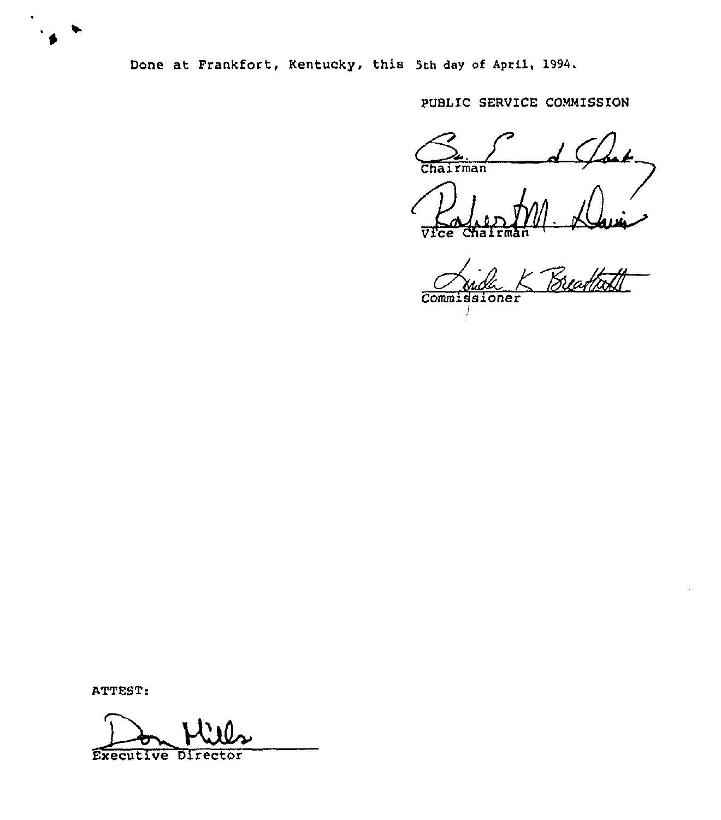

Done at Frankfort, Kentucky, this 5th day of April, 1994,

PUBLIC SERVICE COMMISSION

Chairman Chairma ce

Commiasioner

ATTEST:

Executive Director